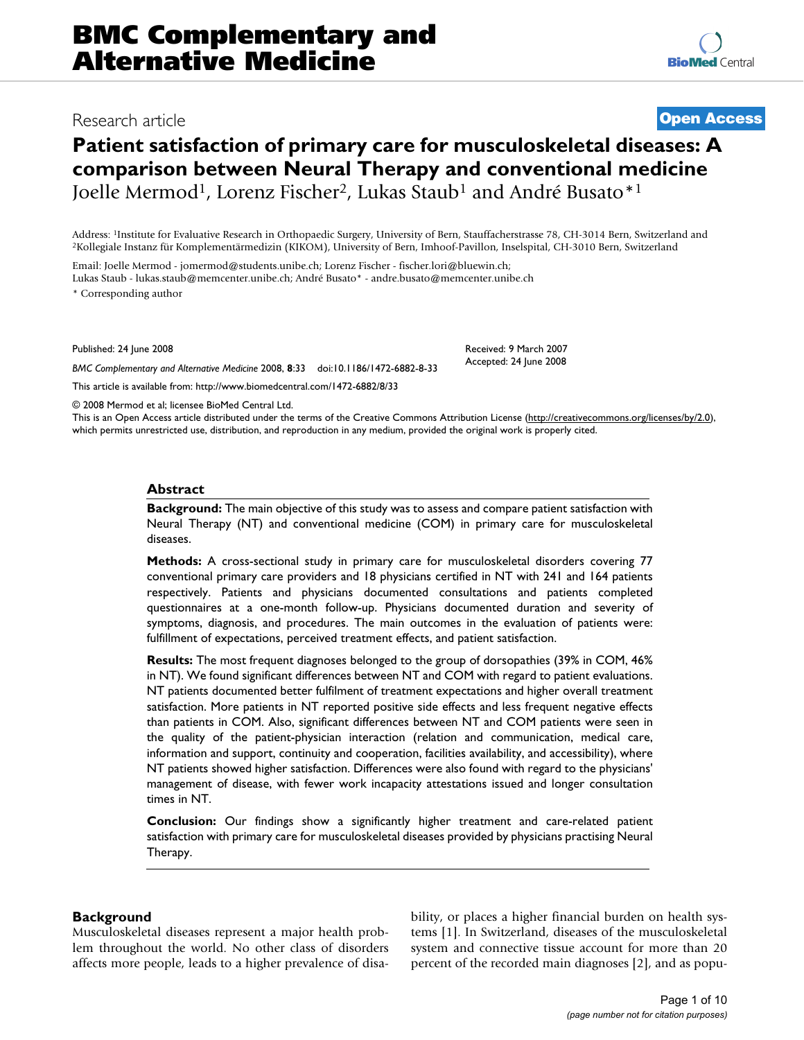# Research article **[Open Access](http://www.biomedcentral.com/info/about/charter/)**

# **Patient satisfaction of primary care for musculoskeletal diseases: A comparison between Neural Therapy and conventional medicine** Joelle Mermod1, Lorenz Fischer2, Lukas Staub1 and André Busato\*1

Address: <sup>1</sup>Institute for Evaluative Research in Orthopaedic Surgery, University of Bern, Stauffacherstrasse 78, CH-3014 Bern, Switzerland and <sup>2</sup>Kollegiale Instanz für Komplementärmedizin (KIKOM), University of Bern, Imho

Email: Joelle Mermod - jomermod@students.unibe.ch; Lorenz Fischer - fischer.lori@bluewin.ch; Lukas Staub - lukas.staub@memcenter.unibe.ch; André Busato\* - andre.busato@memcenter.unibe.ch \* Corresponding author

Published: 24 June 2008

*BMC Complementary and Alternative Medicine* 2008, **8**:33 doi:10.1186/1472-6882-8-33

[This article is available from: http://www.biomedcentral.com/1472-6882/8/33](http://www.biomedcentral.com/1472-6882/8/33)

© 2008 Mermod et al; licensee BioMed Central Ltd.

This is an Open Access article distributed under the terms of the Creative Commons Attribution License [\(http://creativecommons.org/licenses/by/2.0\)](http://creativecommons.org/licenses/by/2.0), which permits unrestricted use, distribution, and reproduction in any medium, provided the original work is properly cited.

**Background:** The main objective of this study was to assess and compare patient satisfaction with Neural Therapy (NT) and conventional medicine (COM) in primary care for musculoskeletal diseases.

**Methods:** A cross-sectional study in primary care for musculoskeletal disorders covering 77 conventional primary care providers and 18 physicians certified in NT with 241 and 164 patients respectively. Patients and physicians documented consultations and patients completed questionnaires at a one-month follow-up. Physicians documented duration and severity of symptoms, diagnosis, and procedures. The main outcomes in the evaluation of patients were: fulfillment of expectations, perceived treatment effects, and patient satisfaction.

**Results:** The most frequent diagnoses belonged to the group of dorsopathies (39% in COM, 46% in NT). We found significant differences between NT and COM with regard to patient evaluations. NT patients documented better fulfilment of treatment expectations and higher overall treatment satisfaction. More patients in NT reported positive side effects and less frequent negative effects than patients in COM. Also, significant differences between NT and COM patients were seen in the quality of the patient-physician interaction (relation and communication, medical care, information and support, continuity and cooperation, facilities availability, and accessibility), where NT patients showed higher satisfaction. Differences were also found with regard to the physicians' management of disease, with fewer work incapacity attestations issued and longer consultation times in NT.

**Conclusion:** Our findings show a significantly higher treatment and care-related patient satisfaction with primary care for musculoskeletal diseases provided by physicians practising Neural Therapy.

#### **Background**

Musculoskeletal diseases represent a major health problem throughout the world. No other class of disorders affects more people, leads to a higher prevalence of disability, or places a higher financial burden on health systems [1]. In Switzerland, diseases of the musculoskeletal system and connective tissue account for more than 20 percent of the recorded main diagnoses [2], and as popu-

Received: 9 March 2007 Accepted: 24 June 2008

**Abstract**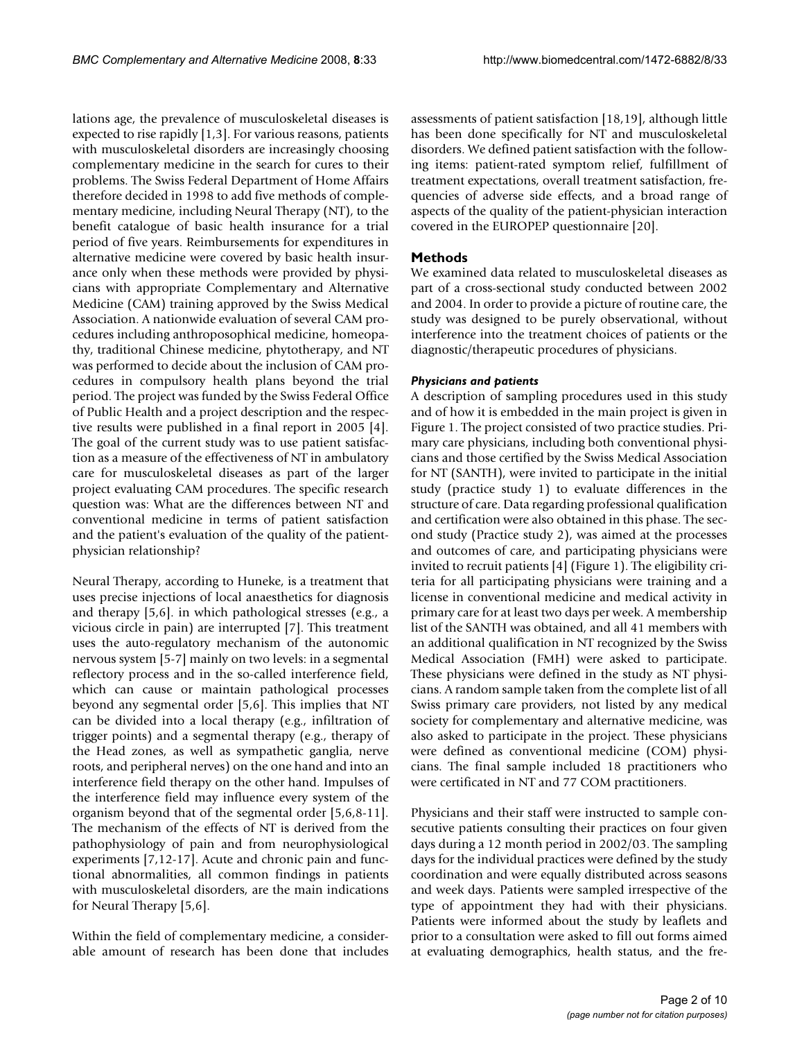lations age, the prevalence of musculoskeletal diseases is expected to rise rapidly [1,3]. For various reasons, patients with musculoskeletal disorders are increasingly choosing complementary medicine in the search for cures to their problems. The Swiss Federal Department of Home Affairs therefore decided in 1998 to add five methods of complementary medicine, including Neural Therapy (NT), to the benefit catalogue of basic health insurance for a trial period of five years. Reimbursements for expenditures in alternative medicine were covered by basic health insurance only when these methods were provided by physicians with appropriate Complementary and Alternative Medicine (CAM) training approved by the Swiss Medical Association. A nationwide evaluation of several CAM procedures including anthroposophical medicine, homeopathy, traditional Chinese medicine, phytotherapy, and NT was performed to decide about the inclusion of CAM procedures in compulsory health plans beyond the trial period. The project was funded by the Swiss Federal Office of Public Health and a project description and the respective results were published in a final report in 2005 [4]. The goal of the current study was to use patient satisfaction as a measure of the effectiveness of NT in ambulatory care for musculoskeletal diseases as part of the larger project evaluating CAM procedures. The specific research question was: What are the differences between NT and conventional medicine in terms of patient satisfaction and the patient's evaluation of the quality of the patientphysician relationship?

Neural Therapy, according to Huneke, is a treatment that uses precise injections of local anaesthetics for diagnosis and therapy [5,6]. in which pathological stresses (e.g., a vicious circle in pain) are interrupted [7]. This treatment uses the auto-regulatory mechanism of the autonomic nervous system [5-7] mainly on two levels: in a segmental reflectory process and in the so-called interference field, which can cause or maintain pathological processes beyond any segmental order [5,6]. This implies that NT can be divided into a local therapy (e.g., infiltration of trigger points) and a segmental therapy (e.g., therapy of the Head zones, as well as sympathetic ganglia, nerve roots, and peripheral nerves) on the one hand and into an interference field therapy on the other hand. Impulses of the interference field may influence every system of the organism beyond that of the segmental order [5,6,8-11]. The mechanism of the effects of NT is derived from the pathophysiology of pain and from neurophysiological experiments [7,12-17]. Acute and chronic pain and functional abnormalities, all common findings in patients with musculoskeletal disorders, are the main indications for Neural Therapy [5,6].

Within the field of complementary medicine, a considerable amount of research has been done that includes assessments of patient satisfaction [18,19], although little has been done specifically for NT and musculoskeletal disorders. We defined patient satisfaction with the following items: patient-rated symptom relief, fulfillment of treatment expectations, overall treatment satisfaction, frequencies of adverse side effects, and a broad range of aspects of the quality of the patient-physician interaction covered in the EUROPEP questionnaire [20].

# **Methods**

We examined data related to musculoskeletal diseases as part of a cross-sectional study conducted between 2002 and 2004. In order to provide a picture of routine care, the study was designed to be purely observational, without interference into the treatment choices of patients or the diagnostic/therapeutic procedures of physicians.

## *Physicians and patients*

A description of sampling procedures used in this study and of how it is embedded in the main project is given in Figure 1. The project consisted of two practice studies. Primary care physicians, including both conventional physicians and those certified by the Swiss Medical Association for NT (SANTH), were invited to participate in the initial study (practice study 1) to evaluate differences in the structure of care. Data regarding professional qualification and certification were also obtained in this phase. The second study (Practice study 2), was aimed at the processes and outcomes of care, and participating physicians were invited to recruit patients [4] (Figure 1). The eligibility criteria for all participating physicians were training and a license in conventional medicine and medical activity in primary care for at least two days per week. A membership list of the SANTH was obtained, and all 41 members with an additional qualification in NT recognized by the Swiss Medical Association (FMH) were asked to participate. These physicians were defined in the study as NT physicians. A random sample taken from the complete list of all Swiss primary care providers, not listed by any medical society for complementary and alternative medicine, was also asked to participate in the project. These physicians were defined as conventional medicine (COM) physicians. The final sample included 18 practitioners who were certificated in NT and 77 COM practitioners.

Physicians and their staff were instructed to sample consecutive patients consulting their practices on four given days during a 12 month period in 2002/03. The sampling days for the individual practices were defined by the study coordination and were equally distributed across seasons and week days. Patients were sampled irrespective of the type of appointment they had with their physicians. Patients were informed about the study by leaflets and prior to a consultation were asked to fill out forms aimed at evaluating demographics, health status, and the fre-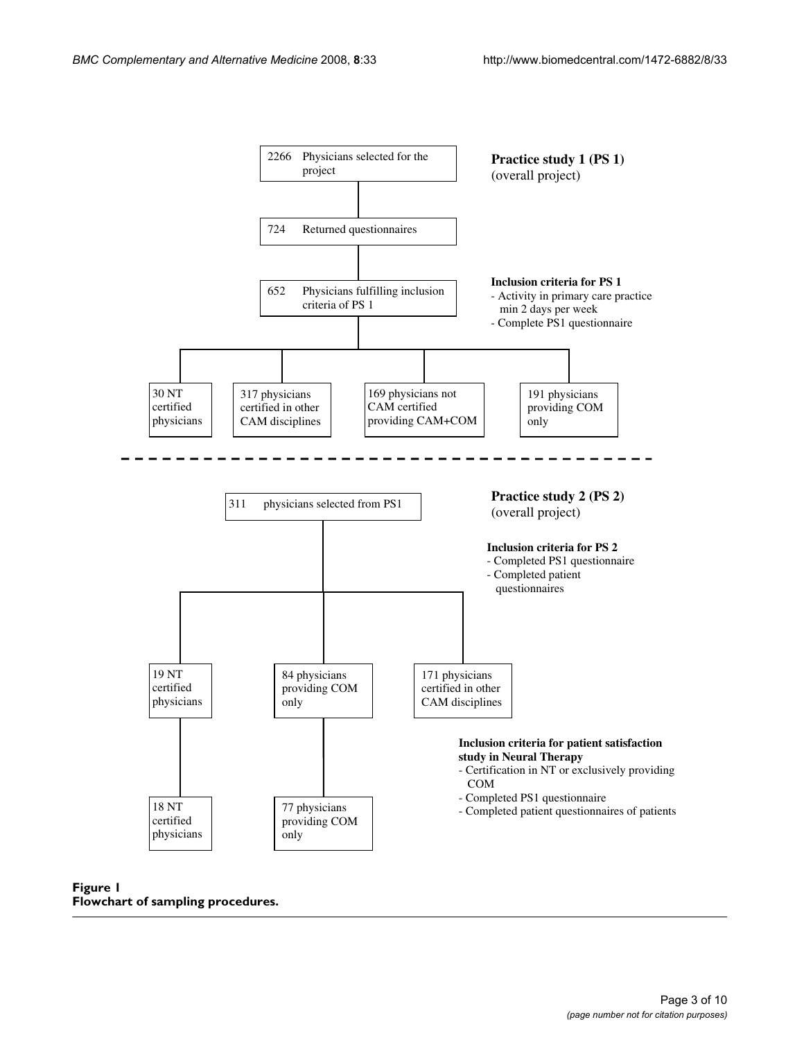

#### Figure 1 **Flowchart of sampling procedures.**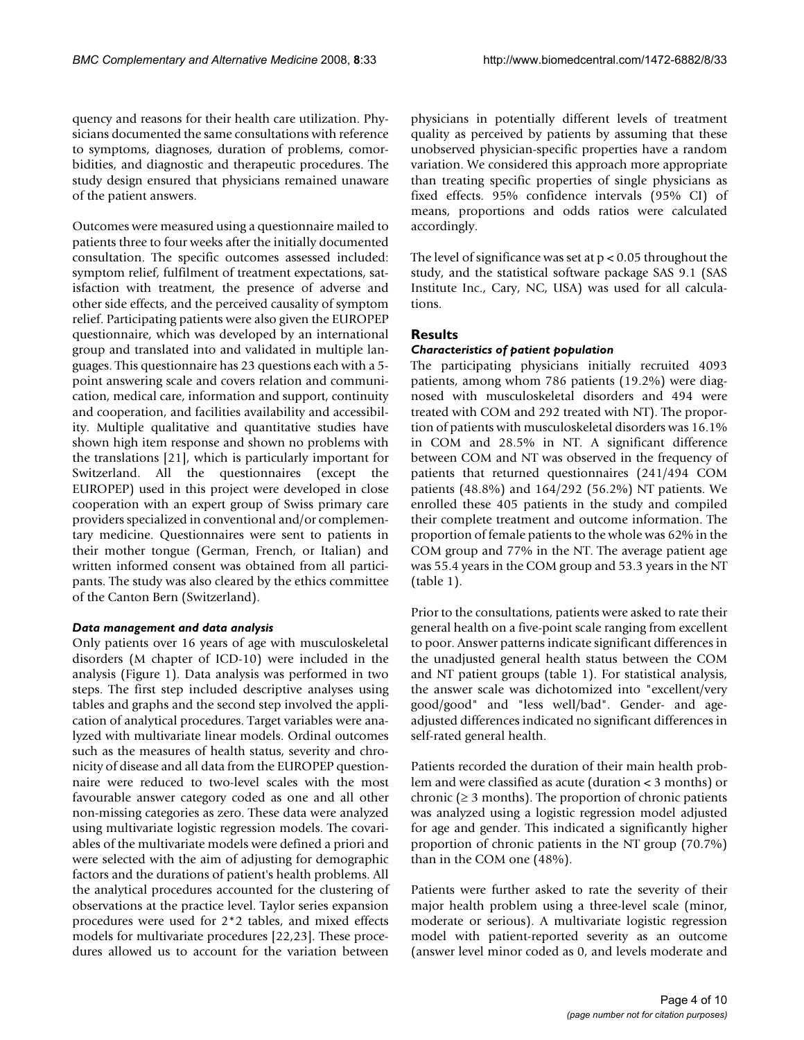quency and reasons for their health care utilization. Physicians documented the same consultations with reference to symptoms, diagnoses, duration of problems, comorbidities, and diagnostic and therapeutic procedures. The study design ensured that physicians remained unaware of the patient answers.

Outcomes were measured using a questionnaire mailed to patients three to four weeks after the initially documented consultation. The specific outcomes assessed included: symptom relief, fulfilment of treatment expectations, satisfaction with treatment, the presence of adverse and other side effects, and the perceived causality of symptom relief. Participating patients were also given the EUROPEP questionnaire, which was developed by an international group and translated into and validated in multiple languages. This questionnaire has 23 questions each with a 5 point answering scale and covers relation and communication, medical care, information and support, continuity and cooperation, and facilities availability and accessibility. Multiple qualitative and quantitative studies have shown high item response and shown no problems with the translations [21], which is particularly important for Switzerland. All the questionnaires (except the EUROPEP) used in this project were developed in close cooperation with an expert group of Swiss primary care providers specialized in conventional and/or complementary medicine. Questionnaires were sent to patients in their mother tongue (German, French, or Italian) and written informed consent was obtained from all participants. The study was also cleared by the ethics committee of the Canton Bern (Switzerland).

#### *Data management and data analysis*

Only patients over 16 years of age with musculoskeletal disorders (M chapter of ICD-10) were included in the analysis (Figure 1). Data analysis was performed in two steps. The first step included descriptive analyses using tables and graphs and the second step involved the application of analytical procedures. Target variables were analyzed with multivariate linear models. Ordinal outcomes such as the measures of health status, severity and chronicity of disease and all data from the EUROPEP questionnaire were reduced to two-level scales with the most favourable answer category coded as one and all other non-missing categories as zero. These data were analyzed using multivariate logistic regression models. The covariables of the multivariate models were defined a priori and were selected with the aim of adjusting for demographic factors and the durations of patient's health problems. All the analytical procedures accounted for the clustering of observations at the practice level. Taylor series expansion procedures were used for 2\*2 tables, and mixed effects models for multivariate procedures [22,23]. These procedures allowed us to account for the variation between physicians in potentially different levels of treatment quality as perceived by patients by assuming that these unobserved physician-specific properties have a random variation. We considered this approach more appropriate than treating specific properties of single physicians as fixed effects. 95% confidence intervals (95% CI) of means, proportions and odds ratios were calculated accordingly.

The level of significance was set at  $p < 0.05$  throughout the study, and the statistical software package SAS 9.1 (SAS Institute Inc., Cary, NC, USA) was used for all calculations.

#### **Results**

#### *Characteristics of patient population*

The participating physicians initially recruited 4093 patients, among whom 786 patients (19.2%) were diagnosed with musculoskeletal disorders and 494 were treated with COM and 292 treated with NT). The proportion of patients with musculoskeletal disorders was 16.1% in COM and 28.5% in NT. A significant difference between COM and NT was observed in the frequency of patients that returned questionnaires (241/494 COM patients (48.8%) and 164/292 (56.2%) NT patients. We enrolled these 405 patients in the study and compiled their complete treatment and outcome information. The proportion of female patients to the whole was 62% in the COM group and 77% in the NT. The average patient age was 55.4 years in the COM group and 53.3 years in the NT (table 1).

Prior to the consultations, patients were asked to rate their general health on a five-point scale ranging from excellent to poor. Answer patterns indicate significant differences in the unadjusted general health status between the COM and NT patient groups (table 1). For statistical analysis, the answer scale was dichotomized into "excellent/very good/good" and "less well/bad". Gender- and ageadjusted differences indicated no significant differences in self-rated general health.

Patients recorded the duration of their main health problem and were classified as acute (duration < 3 months) or chronic ( $\geq$  3 months). The proportion of chronic patients was analyzed using a logistic regression model adjusted for age and gender. This indicated a significantly higher proportion of chronic patients in the NT group (70.7%) than in the COM one (48%).

Patients were further asked to rate the severity of their major health problem using a three-level scale (minor, moderate or serious). A multivariate logistic regression model with patient-reported severity as an outcome (answer level minor coded as 0, and levels moderate and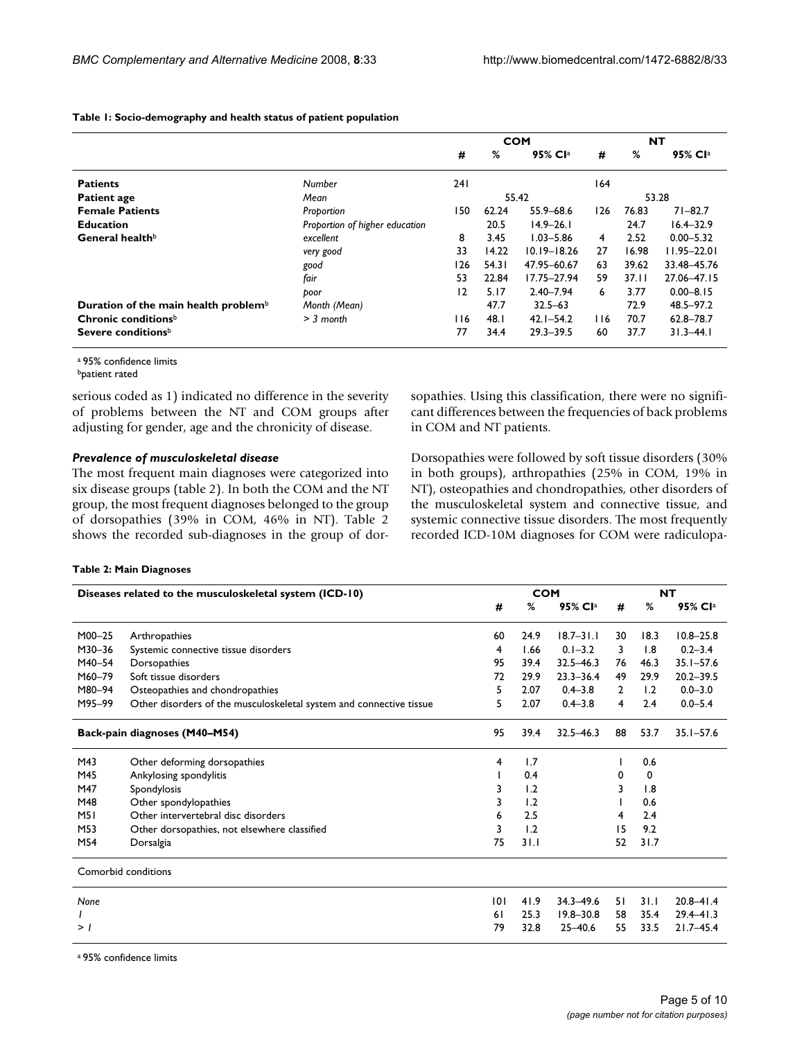|                                                  |                                | <b>COM</b> |       |                 | NT  |       |                 |
|--------------------------------------------------|--------------------------------|------------|-------|-----------------|-----|-------|-----------------|
|                                                  |                                | #          | %     | 95% Cla         | #   | %     | 95% Cla         |
| <b>Patients</b>                                  | <b>Number</b>                  | 241        |       |                 | 164 |       |                 |
| <b>Patient age</b>                               | Mean                           |            |       | 55.42<br>53.28  |     |       |                 |
| <b>Female Patients</b>                           | Proportion                     | 150        | 62.24 | $55.9 - 68.6$   | 126 | 76.83 | $71 - 82.7$     |
| <b>Education</b>                                 | Proportion of higher education |            | 20.5  | $14.9 - 26.1$   |     | 24.7  | $16.4 - 32.9$   |
| General health <sup>b</sup>                      | excellent                      | 8          | 3.45  | $1.03 - 5.86$   | 4   | 2.52  | $0.00 - 5.32$   |
|                                                  | very good                      | 33         | 14.22 | $10.19 - 18.26$ | 27  | 16.98 | $11.95 - 22.01$ |
|                                                  | good                           | 126        | 54.31 | 47.95-60.67     | 63  | 39.62 | 33.48-45.76     |
|                                                  | fair                           | 53         | 22.84 | $17.75 - 27.94$ | 59  | 37.11 | 27.06-47.15     |
|                                                  | poor                           | 12         | 5.17  | $2.40 - 7.94$   | 6   | 3.77  | $0.00 - 8.15$   |
| Duration of the main health problem <sup>b</sup> | Month (Mean)                   |            | 47.7  | $32.5 - 63$     |     | 72.9  | $48.5 - 97.2$   |
| Chronic conditions <sup>b</sup>                  | $>$ 3 month                    | 116        | 48.1  | $42.1 - 54.2$   | 116 | 70.7  | 62.8-78.7       |
| Severe conditions <sup>b</sup>                   |                                | 77         | 34.4  | $29.3 - 39.5$   | 60  | 37.7  | $31.3 - 44.1$   |

**Table 1: Socio-demography and health status of patient population**

a 95% confidence limits

bpatient rated

serious coded as 1) indicated no difference in the severity of problems between the NT and COM groups after adjusting for gender, age and the chronicity of disease.

#### *Prevalence of musculoskeletal disease*

The most frequent main diagnoses were categorized into six disease groups (table 2). In both the COM and the NT group, the most frequent diagnoses belonged to the group of dorsopathies (39% in COM, 46% in NT). Table 2 shows the recorded sub-diagnoses in the group of dor-

# sopathies. Using this classification, there were no significant differences between the frequencies of back problems in COM and NT patients.

Dorsopathies were followed by soft tissue disorders (30% in both groups), arthropathies (25% in COM, 19% in NT), osteopathies and chondropathies, other disorders of the musculoskeletal system and connective tissue, and systemic connective tissue disorders. The most frequently recorded ICD-10M diagnoses for COM were radiculopa-

#### **Table 2: Main Diagnoses**

|            | Diseases related to the musculoskeletal system (ICD-10)             | <b>COM</b> |      | <b>NT</b>     |              |      |               |
|------------|---------------------------------------------------------------------|------------|------|---------------|--------------|------|---------------|
|            |                                                                     | #          | %    | 95% Cla       | #            | %    | 95% Cla       |
| $M00 - 25$ | Arthropathies                                                       | 60         | 24.9 | $18.7 - 31.1$ | 30           | 18.3 | $10.8 - 25.8$ |
| M30-36     | Systemic connective tissue disorders                                | 4          | 1.66 | $0.1 - 3.2$   | 3            | 1.8  | $0.2 - 3.4$   |
| $M40 - 54$ | Dorsopathies                                                        | 95         | 39.4 | $32.5 - 46.3$ | 76           | 46.3 | $35.1 - 57.6$ |
| M60-79     | Soft tissue disorders                                               | 72         | 29.9 | $23.3 - 36.4$ | 49           | 29.9 | $20.2 - 39.5$ |
| M80-94     | Osteopathies and chondropathies                                     | 5          | 2.07 | $0.4 - 3.8$   | $\mathbf{2}$ | 1.2  | $0.0 - 3.0$   |
| M95-99     | Other disorders of the musculoskeletal system and connective tissue | 5          | 2.07 | $0.4 - 3.8$   | 4            | 2.4  | $0.0 - 5.4$   |
|            | Back-pain diagnoses (M40-M54)                                       | 95         | 39.4 | $32.5 - 46.3$ | 88           | 53.7 | $35.1 - 57.6$ |
| M43        | Other deforming dorsopathies                                        | 4          | 1.7  |               |              | 0.6  |               |
| M45        | Ankylosing spondylitis                                              |            | 0.4  |               | 0            | 0    |               |
| M47        | Spondylosis                                                         | 3          | 1.2  |               | 3            | 1.8  |               |
| M48        | Other spondylopathies                                               | 3          | 1.2  |               |              | 0.6  |               |
| M51        | Other intervertebral disc disorders                                 | 6          | 2.5  |               | 4            | 2.4  |               |
| M53        | Other dorsopathies, not elsewhere classified                        | 3          | 1.2  |               | 15           | 9.2  |               |
| M54        | Dorsalgia                                                           | 75         | 31.1 |               | 52           | 31.7 |               |
|            | Comorbid conditions                                                 |            |      |               |              |      |               |
| None       |                                                                     | 101        | 41.9 | $34.3 - 49.6$ | 51           | 31.1 | $20.8 - 41.4$ |
|            |                                                                     | 61         | 25.3 | $19.8 - 30.8$ | 58           | 35.4 | $29.4 - 41.3$ |
| >1         |                                                                     | 79         | 32.8 | $25 - 40.6$   | 55           | 33.5 | $21.7 - 45.4$ |

a 95% confidence limits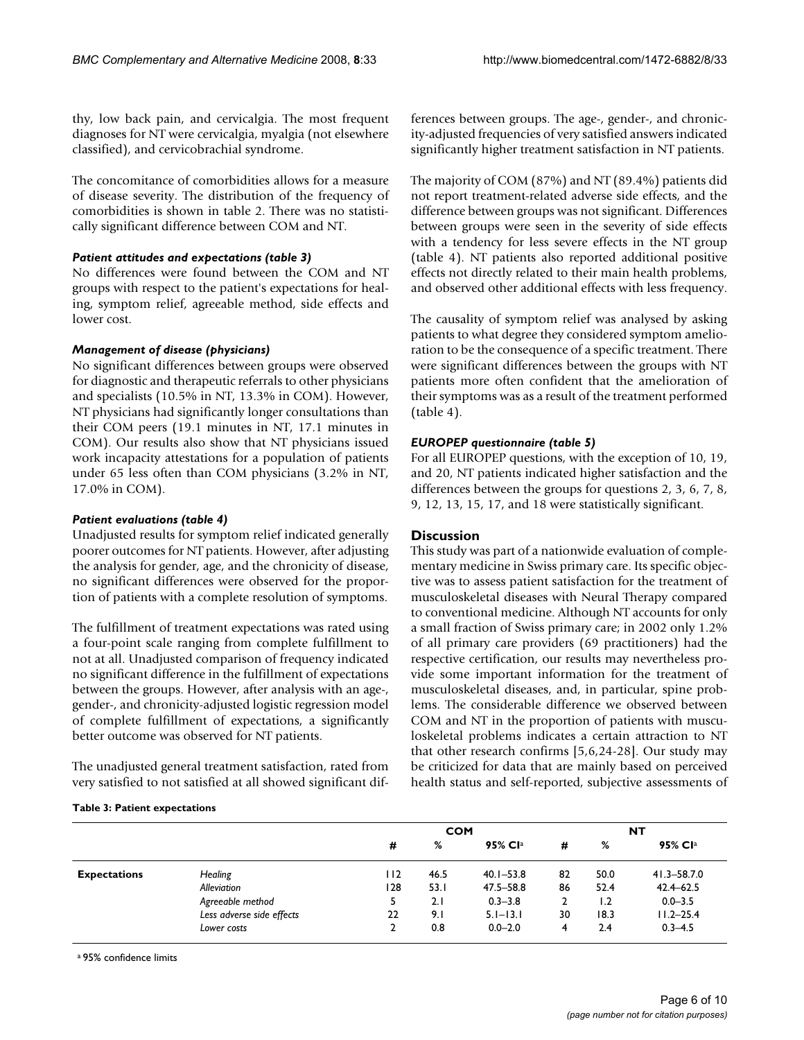thy, low back pain, and cervicalgia. The most frequent diagnoses for NT were cervicalgia, myalgia (not elsewhere classified), and cervicobrachial syndrome.

The concomitance of comorbidities allows for a measure of disease severity. The distribution of the frequency of comorbidities is shown in table 2. There was no statistically significant difference between COM and NT.

#### *Patient attitudes and expectations (table 3)*

No differences were found between the COM and NT groups with respect to the patient's expectations for healing, symptom relief, agreeable method, side effects and lower cost.

## *Management of disease (physicians)*

No significant differences between groups were observed for diagnostic and therapeutic referrals to other physicians and specialists (10.5% in NT, 13.3% in COM). However, NT physicians had significantly longer consultations than their COM peers (19.1 minutes in NT, 17.1 minutes in COM). Our results also show that NT physicians issued work incapacity attestations for a population of patients under 65 less often than COM physicians (3.2% in NT, 17.0% in COM).

#### *Patient evaluations (table 4)*

Unadjusted results for symptom relief indicated generally poorer outcomes for NT patients. However, after adjusting the analysis for gender, age, and the chronicity of disease, no significant differences were observed for the proportion of patients with a complete resolution of symptoms.

The fulfillment of treatment expectations was rated using a four-point scale ranging from complete fulfillment to not at all. Unadjusted comparison of frequency indicated no significant difference in the fulfillment of expectations between the groups. However, after analysis with an age-, gender-, and chronicity-adjusted logistic regression model of complete fulfillment of expectations, a significantly better outcome was observed for NT patients.

The unadjusted general treatment satisfaction, rated from very satisfied to not satisfied at all showed significant differences between groups. The age-, gender-, and chronicity-adjusted frequencies of very satisfied answers indicated significantly higher treatment satisfaction in NT patients.

The majority of COM (87%) and NT (89.4%) patients did not report treatment-related adverse side effects, and the difference between groups was not significant. Differences between groups were seen in the severity of side effects with a tendency for less severe effects in the NT group (table 4). NT patients also reported additional positive effects not directly related to their main health problems, and observed other additional effects with less frequency.

The causality of symptom relief was analysed by asking patients to what degree they considered symptom amelioration to be the consequence of a specific treatment. There were significant differences between the groups with NT patients more often confident that the amelioration of their symptoms was as a result of the treatment performed (table 4).

# *EUROPEP questionnaire (table 5)*

For all EUROPEP questions, with the exception of 10, 19, and 20, NT patients indicated higher satisfaction and the differences between the groups for questions 2, 3, 6, 7, 8, 9, 12, 13, 15, 17, and 18 were statistically significant.

## **Discussion**

This study was part of a nationwide evaluation of complementary medicine in Swiss primary care. Its specific objective was to assess patient satisfaction for the treatment of musculoskeletal diseases with Neural Therapy compared to conventional medicine. Although NT accounts for only a small fraction of Swiss primary care; in 2002 only 1.2% of all primary care providers (69 practitioners) had the respective certification, our results may nevertheless provide some important information for the treatment of musculoskeletal diseases, and, in particular, spine problems. The considerable difference we observed between COM and NT in the proportion of patients with musculoskeletal problems indicates a certain attraction to NT that other research confirms [5,6,24-28]. Our study may be criticized for data that are mainly based on perceived health status and self-reported, subjective assessments of

**Table 3: Patient expectations**

|                     |                           |     | <b>COM</b> |               |    | <b>NT</b> |               |  |  |
|---------------------|---------------------------|-----|------------|---------------|----|-----------|---------------|--|--|
|                     |                           | #   | %          | 95% Cla       | #  | %         | 95% Cla       |  |  |
| <b>Expectations</b> | Healing                   | 112 | 46.5       | $40.1 - 53.8$ | 82 | 50.0      | 41.3-58.7.0   |  |  |
|                     | Alleviation               | 128 | 53.1       | 47.5-58.8     | 86 | 52.4      | $42.4 - 62.5$ |  |  |
|                     | Agreeable method          | 5   | 2.1        | $0.3 - 3.8$   | 2  | 1.2       | $0.0 - 3.5$   |  |  |
|                     | Less adverse side effects | 22  | 9.1        | $5.1 - 13.1$  | 30 | 18.3      | $11.2 - 25.4$ |  |  |
|                     | Lower costs               | 2   | 0.8        | $0.0 - 2.0$   | 4  | 2.4       | $0.3 - 4.5$   |  |  |

a 95% confidence limits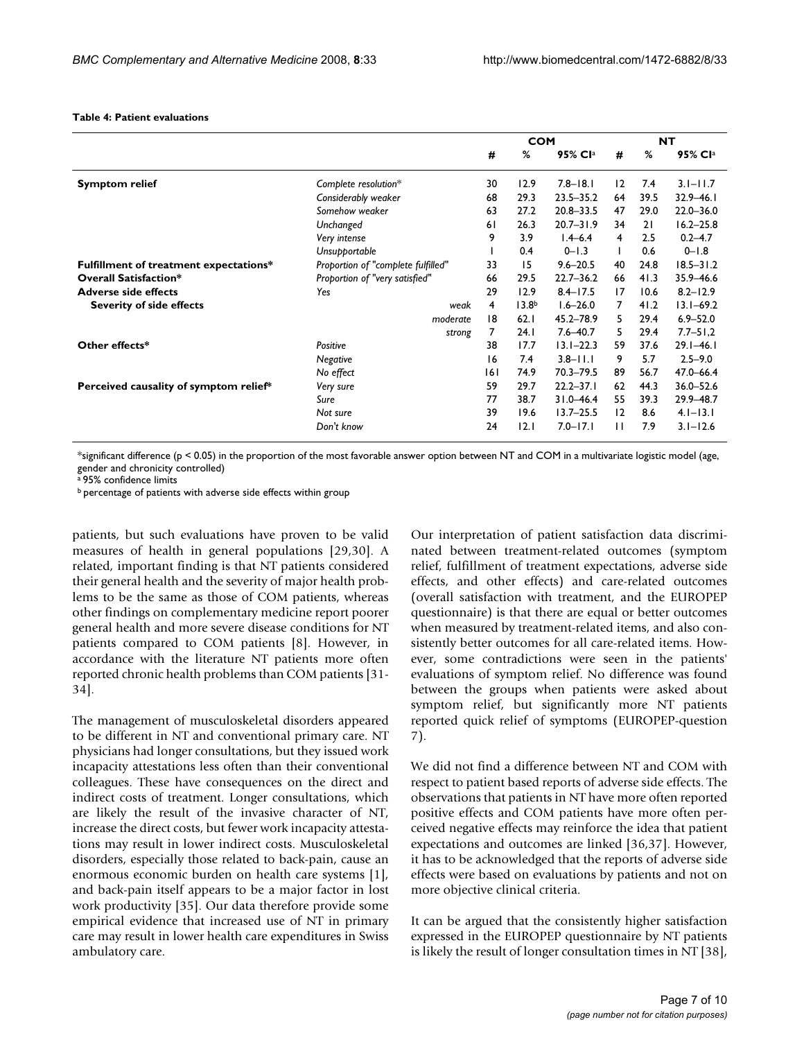#### **Table 4: Patient evaluations**

|                                        |                                    | <b>COM</b> |                   | <b>NT</b>     |                |      |               |
|----------------------------------------|------------------------------------|------------|-------------------|---------------|----------------|------|---------------|
|                                        |                                    | #          | %                 | 95% Cla       | #              | %    | 95% Cla       |
| <b>Symptom relief</b>                  | Complete resolution*               | 30         | 12.9              | $7.8 - 18.1$  | 12             | 7.4  | $3.1 - 11.7$  |
|                                        | Considerably weaker                | 68         | 29.3              | $23.5 - 35.2$ | 64             | 39.5 | $32.9 - 46.1$ |
|                                        | Somehow weaker                     | 63         | 27.2              | $20.8 - 33.5$ | 47             | 29.0 | $22.0 - 36.0$ |
|                                        | Unchanged                          | 61         | 26.3              | $20.7 - 31.9$ | 34             | 21   | $16.2 - 25.8$ |
|                                        | Very intense                       | 9          | 3.9               | $1.4 - 6.4$   | $\overline{4}$ | 2.5  | $0.2 - 4.7$   |
|                                        | Unsupportable                      |            | 0.4               | $0 - 1.3$     |                | 0.6  | $0 - 1.8$     |
| Fulfillment of treatment expectations* | Proportion of "complete fulfilled" |            | 15                | $9.6 - 20.5$  | 40             | 24.8 | $18.5 - 31.2$ |
| <b>Overall Satisfaction*</b>           | Proportion of "very satisfied"     |            | 29.5              | $22.7 - 36.2$ | 66             | 41.3 | 35.9 - 46.6   |
| <b>Adverse side effects</b>            | Yes                                | 29         | 12.9              | $8.4 - 17.5$  | 17             | 10.6 | $8.2 - 12.9$  |
| Severity of side effects               | weak                               | 4          | 13.8 <sup>b</sup> | $1.6 - 26.0$  | 7              | 41.2 | $13.1 - 69.2$ |
|                                        | moderate                           | 18         | 62.1              | 45.2-78.9     | 5              | 29.4 | $6.9 - 52.0$  |
|                                        | strong                             | 7          | 24.I              | $7.6 - 40.7$  | 5              | 29.4 | $7.7 - 51.2$  |
| Other effects*                         | Positive                           | 38         | 17.7              | $13.1 - 22.3$ | 59             | 37.6 | $29.1 - 46.1$ |
|                                        | Negative                           | 16         | 7.4               | $3.8 - 11.1$  | 9              | 5.7  | $2.5 - 9.0$   |
|                                        | No effect                          | 6          | 74.9              | $70.3 - 79.5$ | 89             | 56.7 | $47.0 - 66.4$ |
| Perceived causality of symptom relief* | Very sure                          | 59         | 29.7              | $22.2 - 37.1$ | 62             | 44.3 | $36.0 - 52.6$ |
|                                        | Sure                               | 77         | 38.7              | $31.0 - 46.4$ | 55             | 39.3 | 29.9-48.7     |
|                                        | Not sure                           | 39         | 19.6              | $13.7 - 25.5$ | 12             | 8.6  | $4.1 - 13.1$  |
|                                        | Don't know                         | 24         | 2.1               | $7.0 - 17.1$  | $\mathbf{H}$   | 7.9  | $3.1 - 12.6$  |

\*significant difference (p < 0.05) in the proportion of the most favorable answer option between NT and COM in a multivariate logistic model (age, gender and chronicity controlled)

a 95% confidence limits

b percentage of patients with adverse side effects within group

patients, but such evaluations have proven to be valid measures of health in general populations [29,30]. A related, important finding is that NT patients considered their general health and the severity of major health problems to be the same as those of COM patients, whereas other findings on complementary medicine report poorer general health and more severe disease conditions for NT patients compared to COM patients [8]. However, in accordance with the literature NT patients more often reported chronic health problems than COM patients [31- 34].

The management of musculoskeletal disorders appeared to be different in NT and conventional primary care. NT physicians had longer consultations, but they issued work incapacity attestations less often than their conventional colleagues. These have consequences on the direct and indirect costs of treatment. Longer consultations, which are likely the result of the invasive character of NT, increase the direct costs, but fewer work incapacity attestations may result in lower indirect costs. Musculoskeletal disorders, especially those related to back-pain, cause an enormous economic burden on health care systems [1], and back-pain itself appears to be a major factor in lost work productivity [35]. Our data therefore provide some empirical evidence that increased use of NT in primary care may result in lower health care expenditures in Swiss ambulatory care.

Our interpretation of patient satisfaction data discriminated between treatment-related outcomes (symptom relief, fulfillment of treatment expectations, adverse side effects, and other effects) and care-related outcomes (overall satisfaction with treatment, and the EUROPEP questionnaire) is that there are equal or better outcomes when measured by treatment-related items, and also consistently better outcomes for all care-related items. However, some contradictions were seen in the patients' evaluations of symptom relief. No difference was found between the groups when patients were asked about symptom relief, but significantly more NT patients reported quick relief of symptoms (EUROPEP-question 7).

We did not find a difference between NT and COM with respect to patient based reports of adverse side effects. The observations that patients in NT have more often reported positive effects and COM patients have more often perceived negative effects may reinforce the idea that patient expectations and outcomes are linked [36,37]. However, it has to be acknowledged that the reports of adverse side effects were based on evaluations by patients and not on more objective clinical criteria.

It can be argued that the consistently higher satisfaction expressed in the EUROPEP questionnaire by NT patients is likely the result of longer consultation times in NT [38],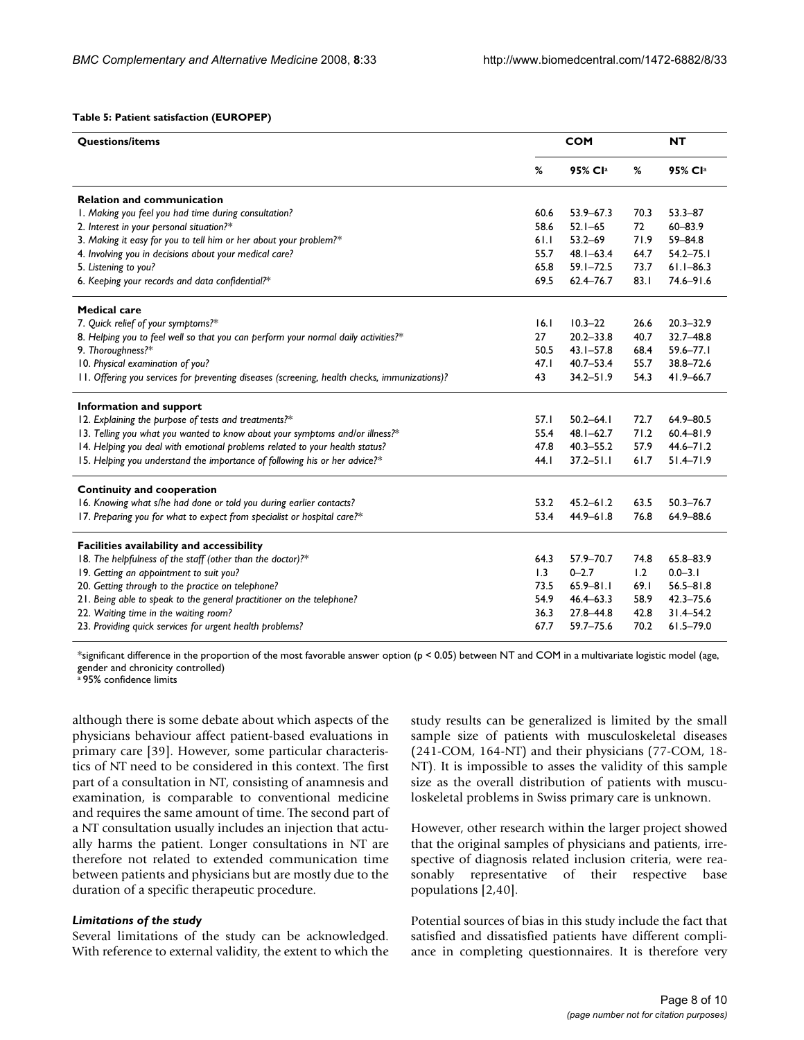#### **Table 5: Patient satisfaction (EUROPEP)**

| <b>Questions/items</b>                                                                       |      | <b>COM</b>    |      | <b>NT</b>     |  |
|----------------------------------------------------------------------------------------------|------|---------------|------|---------------|--|
|                                                                                              | %    | 95% Cla       | %    | 95% Cla       |  |
| <b>Relation and communication</b>                                                            |      |               |      |               |  |
| 1. Making you feel you had time during consultation?                                         | 60.6 | $53.9 - 67.3$ | 70.3 | $53.3 - 87$   |  |
| 2. Interest in your personal situation?*                                                     | 58.6 | $52.1 - 65$   | 72   | $60 - 83.9$   |  |
| 3. Making it easy for you to tell him or her about your problem?*                            | 61.I | $53.2 - 69$   | 71.9 | $59 - 84.8$   |  |
| 4. Involving you in decisions about your medical care?                                       | 55.7 | $48.1 - 63.4$ | 64.7 | $54.2 - 75.1$ |  |
| 5. Listening to you?                                                                         | 65.8 | $59.1 - 72.5$ | 73.7 | $61.1 - 86.3$ |  |
| 6. Keeping your records and data confidential?*                                              | 69.5 | $62.4 - 76.7$ | 83.1 | 74.6-91.6     |  |
| <b>Medical care</b>                                                                          |      |               |      |               |  |
| 7. Quick relief of your symptoms?*                                                           | 16.1 | $10.3 - 22$   | 26.6 | $20.3 - 32.9$ |  |
| 8. Helping you to feel well so that you can perform your normal daily activities?*           | 27   | $20.2 - 33.8$ | 40.7 | 32.7-48.8     |  |
| 9. Thoroughness?*                                                                            | 50.5 | $43.1 - 57.8$ | 68.4 | $59.6 - 77.1$ |  |
| 10. Physical examination of you?                                                             | 47.1 | $40.7 - 53.4$ | 55.7 | 38.8-72.6     |  |
| 11. Offering you services for preventing diseases (screening, health checks, immunizations)? | 43   | $34.2 - 51.9$ | 54.3 | 41.9-66.7     |  |
| Information and support                                                                      |      |               |      |               |  |
| 12. Explaining the purpose of tests and treatments?*                                         | 57.1 | $50.2 - 64.1$ | 72.7 | 64.9-80.5     |  |
| 13. Telling you what you wanted to know about your symptoms and/or illness?*                 | 55.4 | $48.1 - 62.7$ | 71.2 | $60.4 - 81.9$ |  |
| 14. Helping you deal with emotional problems related to your health status?                  | 47.8 | $40.3 - 55.2$ | 57.9 | $44.6 - 71.2$ |  |
| 15. Helping you understand the importance of following his or her advice?*                   | 44.1 | $37.2 - 51.1$ | 61.7 | $51.4 - 71.9$ |  |
| Continuity and cooperation                                                                   |      |               |      |               |  |
| 16. Knowing what s/he had done or told you during earlier contacts?                          | 53.2 | $45.2 - 61.2$ | 63.5 | $50.3 - 76.7$ |  |
| 17. Preparing you for what to expect from specialist or hospital care?*                      | 53.4 | $44.9 - 61.8$ | 76.8 | 64.9-88.6     |  |
| Facilities availability and accessibility                                                    |      |               |      |               |  |
| 18. The helpfulness of the staff (other than the doctor)?*                                   | 64.3 | 57.9-70.7     | 74.8 | 65.8-83.9     |  |
| 19. Getting an appointment to suit you?                                                      | 1.3  | $0 - 2.7$     | 1.2  | $0.0 - 3.1$   |  |
| 20. Getting through to the practice on telephone?                                            | 73.5 | $65.9 - 81.1$ | 69.1 | $56.5 - 81.8$ |  |
| 21. Being able to speak to the general practitioner on the telephone?                        | 54.9 | $46.4 - 63.3$ | 58.9 | $42.3 - 75.6$ |  |
| 22. Waiting time in the waiting room?                                                        | 36.3 | 27.8-44.8     | 42.8 | $31.4 - 54.2$ |  |
| 23. Providing quick services for urgent health problems?                                     | 67.7 | $59.7 - 75.6$ | 70.2 | $61.5 - 79.0$ |  |
|                                                                                              |      |               |      |               |  |

\*significant difference in the proportion of the most favorable answer option (p < 0.05) between NT and COM in a multivariate logistic model (age, gender and chronicity controlled)

<sup>a</sup> 95% confidence limits

although there is some debate about which aspects of the physicians behaviour affect patient-based evaluations in primary care [39]. However, some particular characteristics of NT need to be considered in this context. The first part of a consultation in NT, consisting of anamnesis and examination, is comparable to conventional medicine and requires the same amount of time. The second part of a NT consultation usually includes an injection that actually harms the patient. Longer consultations in NT are therefore not related to extended communication time between patients and physicians but are mostly due to the duration of a specific therapeutic procedure.

#### *Limitations of the study*

Several limitations of the study can be acknowledged. With reference to external validity, the extent to which the study results can be generalized is limited by the small sample size of patients with musculoskeletal diseases (241-COM, 164-NT) and their physicians (77-COM, 18- NT). It is impossible to asses the validity of this sample size as the overall distribution of patients with musculoskeletal problems in Swiss primary care is unknown.

However, other research within the larger project showed that the original samples of physicians and patients, irrespective of diagnosis related inclusion criteria, were reasonably representative of their respective base populations [2,40].

Potential sources of bias in this study include the fact that satisfied and dissatisfied patients have different compliance in completing questionnaires. It is therefore very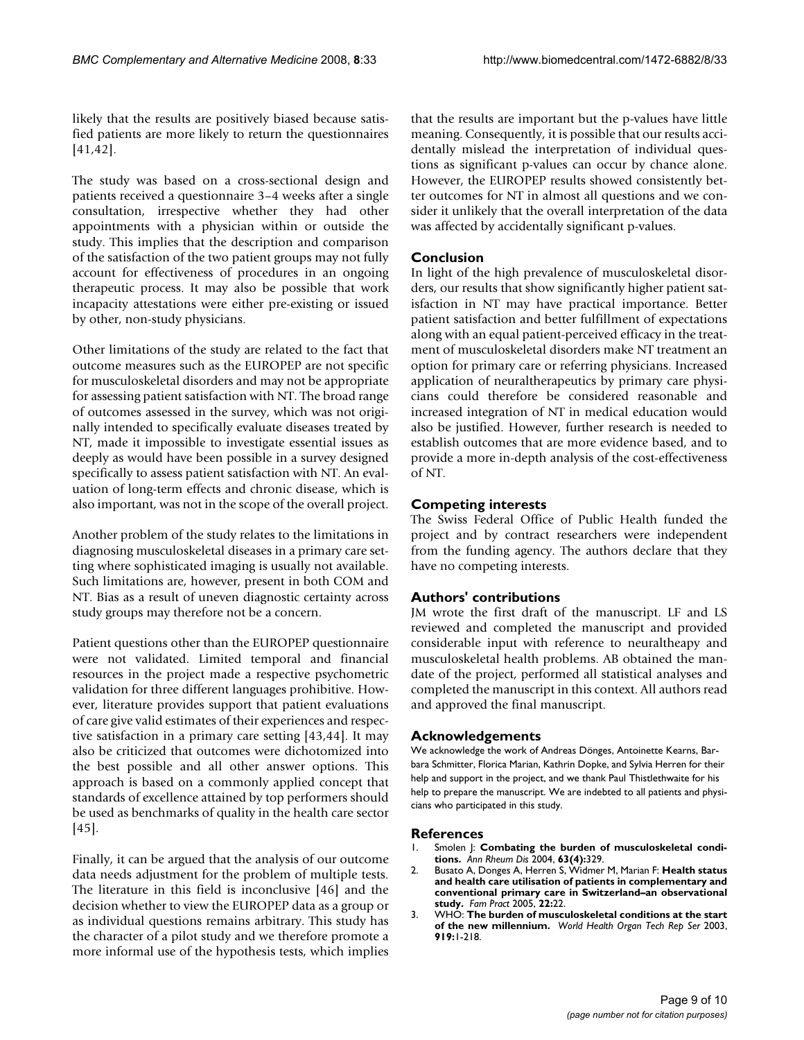likely that the results are positively biased because satisfied patients are more likely to return the questionnaires [41,42].

The study was based on a cross-sectional design and patients received a questionnaire 3–4 weeks after a single consultation, irrespective whether they had other appointments with a physician within or outside the study. This implies that the description and comparison of the satisfaction of the two patient groups may not fully account for effectiveness of procedures in an ongoing therapeutic process. It may also be possible that work incapacity attestations were either pre-existing or issued by other, non-study physicians.

Other limitations of the study are related to the fact that outcome measures such as the EUROPEP are not specific for musculoskeletal disorders and may not be appropriate for assessing patient satisfaction with NT. The broad range of outcomes assessed in the survey, which was not originally intended to specifically evaluate diseases treated by NT, made it impossible to investigate essential issues as deeply as would have been possible in a survey designed specifically to assess patient satisfaction with NT. An evaluation of long-term effects and chronic disease, which is also important, was not in the scope of the overall project.

Another problem of the study relates to the limitations in diagnosing musculoskeletal diseases in a primary care setting where sophisticated imaging is usually not available. Such limitations are, however, present in both COM and NT. Bias as a result of uneven diagnostic certainty across study groups may therefore not be a concern.

Patient questions other than the EUROPEP questionnaire were not validated. Limited temporal and financial resources in the project made a respective psychometric validation for three different languages prohibitive. However, literature provides support that patient evaluations of care give valid estimates of their experiences and respective satisfaction in a primary care setting [43,44]. It may also be criticized that outcomes were dichotomized into the best possible and all other answer options. This approach is based on a commonly applied concept that standards of excellence attained by top performers should be used as benchmarks of quality in the health care sector [45].

Finally, it can be argued that the analysis of our outcome data needs adjustment for the problem of multiple tests. The literature in this field is inconclusive [46] and the decision whether to view the EUROPEP data as a group or as individual questions remains arbitrary. This study has the character of a pilot study and we therefore promote a more informal use of the hypothesis tests, which implies that the results are important but the p-values have little meaning. Consequently, it is possible that our results accidentally mislead the interpretation of individual questions as significant p-values can occur by chance alone. However, the EUROPEP results showed consistently better outcomes for NT in almost all questions and we consider it unlikely that the overall interpretation of the data was affected by accidentally significant p-values.

# **Conclusion**

In light of the high prevalence of musculoskeletal disorders, our results that show significantly higher patient satisfaction in NT may have practical importance. Better patient satisfaction and better fulfillment of expectations along with an equal patient-perceived efficacy in the treatment of musculoskeletal disorders make NT treatment an option for primary care or referring physicians. Increased application of neuraltherapeutics by primary care physicians could therefore be considered reasonable and increased integration of NT in medical education would also be justified. However, further research is needed to establish outcomes that are more evidence based, and to provide a more in-depth analysis of the cost-effectiveness of NT.

## **Competing interests**

The Swiss Federal Office of Public Health funded the project and by contract researchers were independent from the funding agency. The authors declare that they have no competing interests.

#### **Authors' contributions**

JM wrote the first draft of the manuscript. LF and LS reviewed and completed the manuscript and provided considerable input with reference to neuraltheapy and musculoskeletal health problems. AB obtained the mandate of the project, performed all statistical analyses and completed the manuscript in this context. All authors read and approved the final manuscript.

#### **Acknowledgements**

We acknowledge the work of Andreas Dönges, Antoinette Kearns, Barbara Schmitter, Florica Marian, Kathrin Dopke, and Sylvia Herren for their help and support in the project, and we thank Paul Thistlethwaite for his help to prepare the manuscript. We are indebted to all patients and physicians who participated in this study.

#### **References**

- 1. Smolen J: **[Combating the burden of musculoskeletal condi](http://www.ncbi.nlm.nih.gov/entrez/query.fcgi?cmd=Retrieve&db=PubMed&dopt=Abstract&list_uids=15020321)[tions.](http://www.ncbi.nlm.nih.gov/entrez/query.fcgi?cmd=Retrieve&db=PubMed&dopt=Abstract&list_uids=15020321)** *Ann Rheum Dis* 2004, **63(4):**329.
- 2. Busato A, Donges A, Herren S, Widmer M, Marian F: **[Health status](http://www.ncbi.nlm.nih.gov/entrez/query.fcgi?cmd=Retrieve&db=PubMed&dopt=Abstract&list_uids=16036926) [and health care utilisation of patients in complementary and](http://www.ncbi.nlm.nih.gov/entrez/query.fcgi?cmd=Retrieve&db=PubMed&dopt=Abstract&list_uids=16036926) conventional primary care in Switzerland–an observational [study.](http://www.ncbi.nlm.nih.gov/entrez/query.fcgi?cmd=Retrieve&db=PubMed&dopt=Abstract&list_uids=16036926)** *Fam Pract* 2005, **22:**22.
- 3. WHO: **[The burden of musculoskeletal conditions at the start](http://www.ncbi.nlm.nih.gov/entrez/query.fcgi?cmd=Retrieve&db=PubMed&dopt=Abstract&list_uids=14679827) [of the new millennium.](http://www.ncbi.nlm.nih.gov/entrez/query.fcgi?cmd=Retrieve&db=PubMed&dopt=Abstract&list_uids=14679827)** *World Health Organ Tech Rep Ser* 2003, **919:**1-218.